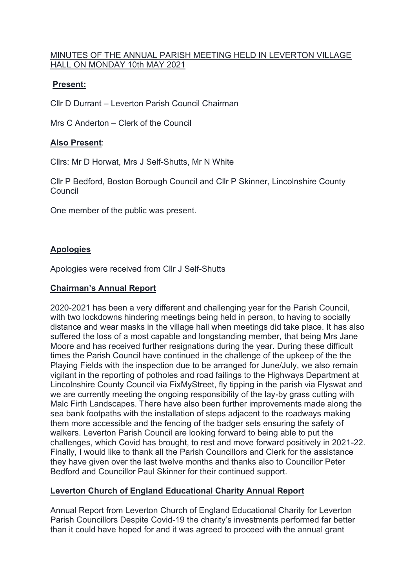# MINUTES OF THE ANNUAL PARISH MEETING HELD IN LEVERTON VILLAGE HALL ON MONDAY 10th MAY 2021

# **Present:**

Cllr D Durrant – Leverton Parish Council Chairman

Mrs C Anderton – Clerk of the Council

# **Also Present**:

Cllrs: Mr D Horwat, Mrs J Self-Shutts, Mr N White

Cllr P Bedford, Boston Borough Council and Cllr P Skinner, Lincolnshire County Council

One member of the public was present.

# **Apologies**

Apologies were received from Cllr J Self-Shutts

## **Chairman's Annual Report**

2020-2021 has been a very different and challenging year for the Parish Council, with two lockdowns hindering meetings being held in person, to having to socially distance and wear masks in the village hall when meetings did take place. It has also suffered the loss of a most capable and longstanding member, that being Mrs Jane Moore and has received further resignations during the year. During these difficult times the Parish Council have continued in the challenge of the upkeep of the the Playing Fields with the inspection due to be arranged for June/July, we also remain vigilant in the reporting of potholes and road failings to the Highways Department at Lincolnshire County Council via FixMyStreet, fly tipping in the parish via Flyswat and we are currently meeting the ongoing responsibility of the lay-by grass cutting with Malc Firth Landscapes. There have also been further improvements made along the sea bank footpaths with the installation of steps adjacent to the roadways making them more accessible and the fencing of the badger sets ensuring the safety of walkers. Leverton Parish Council are looking forward to being able to put the challenges, which Covid has brought, to rest and move forward positively in 2021-22. Finally, I would like to thank all the Parish Councillors and Clerk for the assistance they have given over the last twelve months and thanks also to Councillor Peter Bedford and Councillor Paul Skinner for their continued support.

# **Leverton Church of England Educational Charity Annual Report**

Annual Report from Leverton Church of England Educational Charity for Leverton Parish Councillors Despite Covid-19 the charity's investments performed far better than it could have hoped for and it was agreed to proceed with the annual grant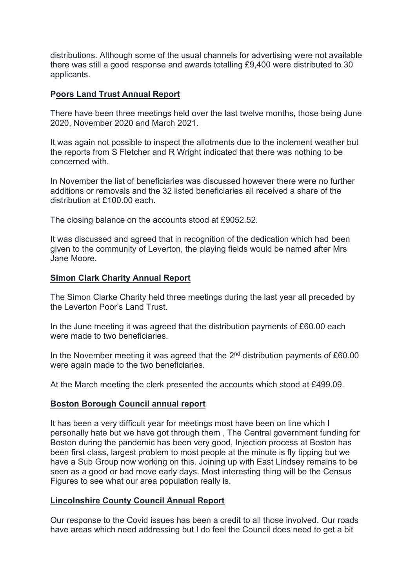distributions. Although some of the usual channels for advertising were not available there was still a good response and awards totalling £9,400 were distributed to 30 applicants.

#### **Poors Land Trust Annual Report**

There have been three meetings held over the last twelve months, those being June 2020, November 2020 and March 2021.

It was again not possible to inspect the allotments due to the inclement weather but the reports from S Fletcher and R Wright indicated that there was nothing to be concerned with.

In November the list of beneficiaries was discussed however there were no further additions or removals and the 32 listed beneficiaries all received a share of the distribution at £100.00 each.

The closing balance on the accounts stood at £9052.52.

It was discussed and agreed that in recognition of the dedication which had been given to the community of Leverton, the playing fields would be named after Mrs Jane Moore.

## **Simon Clark Charity Annual Report**

The Simon Clarke Charity held three meetings during the last year all preceded by the Leverton Poor's Land Trust.

In the June meeting it was agreed that the distribution payments of £60.00 each were made to two beneficiaries.

In the November meeting it was agreed that the  $2<sup>nd</sup>$  distribution payments of £60.00 were again made to the two beneficiaries.

At the March meeting the clerk presented the accounts which stood at £499.09.

#### **Boston Borough Council annual report**

It has been a very difficult year for meetings most have been on line which I personally hate but we have got through them , The Central government funding for Boston during the pandemic has been very good, Injection process at Boston has been first class, largest problem to most people at the minute is fly tipping but we have a Sub Group now working on this. Joining up with East Lindsey remains to be seen as a good or bad move early days. Most interesting thing will be the Census Figures to see what our area population really is.

## **Lincolnshire County Council Annual Report**

Our response to the Covid issues has been a credit to all those involved. Our roads have areas which need addressing but I do feel the Council does need to get a bit